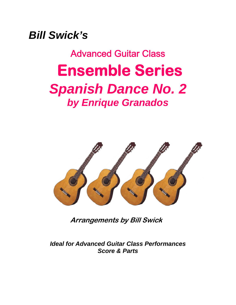*Bill Swick's* 

Advanced Guitar Class  **Ensemble Series**  *Spanish Dance No. 2 by Enrique Granados* 



**Arrangements by Bill Swick** 

*Ideal for Advanced Guitar Class Performances Score & Parts*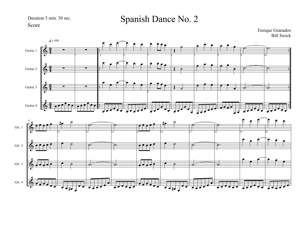Duration 5 min. 30 sec.

Spanish Dance No. 2

Score